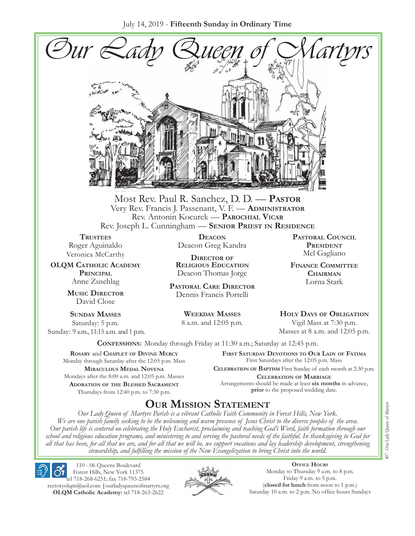July 14, 2019 - **Fifteenth Sunday in Ordinary Time**



Most Rev. Paul R. Sanchez, D. D. — **Pastor** Very Rev. Francis J. Passenant, V. F. — **Administrator** Rev. Antonin Kocurek — **Parochial Vicar** Rev. Joseph L. Cunningham — **Senior Priest in Residence**

**Trustees** Roger Aguinaldo Veronica McCarthy

**OLQM Catholic Academy Principal** Anne Zuschlag

> **Music Director** David Close

**Sunday Masses** Saturday: 5 p.m. Sunday: 9 a.m., 11:15 a.m. and 1 p.m.

**Deacon** Deacon Greg Kandra

**Director of Religious Education** Deacon Thomas Jorge

**Pastoral Care Director** Dennis Francis Portelli

> **Weekday Masses** 8 a.m. and 12:05 p.m.

**Pastoral Council PRESIDENT** Mel Gagliano

**Finance Committee Chairman** Lorna Stark

**Holy Days of Obligation** Vigil Mass at 7:30 p.m.

Masses at 8 a.m. and 12:05 p.m.

**Confessions:** Monday through Friday at 11:30 a.m.; Saturday at 12:45 p.m.

**Rosary** and **Chaplet of Divine Mercy** Monday through Saturday after the 12:05 p.m. Mass **Miraculous Medal Novena** Mondays after the 8:00 a.m. and 12:05 p.m. Masses **Adoration of the Blessed Sacrament** Thursdays from 12:40 p.m. to 7:30 p.m.

**First Saturday Devotions to Our Lady of Fátima** First Saturdays after the 12:05 p.m. Mass

**Celebration of Baptism** First Sunday of each month at 2:30 p.m. **Celebration of Marriage** Arrangements should be made at least **six months** in advance, **prior** to the proposed wedding date.

# **Our Mission Statement**

*Our Lady Queen of Martyrs Parish is a vibrant Catholic Faith Community in Forest Hills, New York. We are one parish family seeking to be the welcoming and warm presence of Jesus Christ to the diverse peoples of the area. Our parish life is centered on celebrating the Holy Eucharist, proclaiming and teaching God's Word, faith formation through our school and religious education programs, and ministering to and serving the pastoral needs of the faithful. In thanksgiving to God for all that has been, for all that we are, and for all that we will be, we support vocations and lay leadership development, strengthening stewardship, and fulfilling the mission of the New Evangelization to bring Christ into the world.*

110 - 06 Queens Boulevard Forest Hills, New York 11375 tel 718-268-6251; fax 718-793-2584 [rectoryolqm@aol.com](mailto:rectoryolqm@aol.com) **|**[ourladyqueenofmartyrs.org](www.ourladyqueenofmartyrs.org) **OLQM Catholic Academy:** tel 718-263-2622



**Office Hours** Monday to Thursday 9 a.m. to 8 p.m. Friday 9 a.m. to 5 p.m. (**closed for lunch** from noon to 1 p.m.) Saturday 10 a.m. to 2 p.m. No office hours Sundays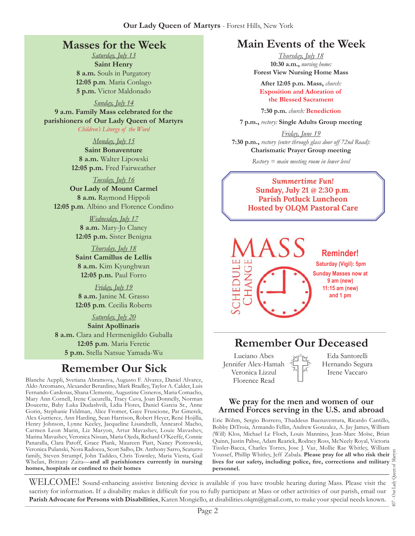# **Masses for the Week**

*Saturday, July 13* **Saint Henry 8 a.m.** Souls in Purgatory **12:05 p.m***.* Maria Conlago **5 p.m.** Victor Maldonado

*Sunday, July 14*

**9 a.m. Family Mass celebrated for the parishioners of Our Lady Queen of Martyrs** *Children's Liturgy of the Word* 

*Monday, July 15*

**Saint Bonaventure 8 a.m.** Walter Lipowski **12:05 p.m.** Fred Fairweather

*Tuesday, July 16*

**Our Lady of Mount Carmel 8 a.m.** Raymond Hippoli **12:05 p.m***.* Albino and Florence Condino

> *Wednesday, July 17* **8 a.m.** Mary-Jo Clancy **12:05 p.m.** Sister Benigna

> *Thursday, July 18* **Saint Camillus de Lellis 8 a.m.** Kim Kyunghwan **12:05 p.m.** Paul Forro

> *Friday, July 19* **8 a.m.** Janine M. Grasso **12:05 p.m***.* Cecilia Roberts

> > *Saturday, July 20*

**Saint Apollinaris 8 a.m.** Clara and Hermenigildo Guballa **12:05 p.m***.* Maria Feretic **5 p.m.** Stella Natsue Yamada-Wu

# **Remember Our Sick**

Blanche Aeppli, Svetiana Abramova, Augusto F. Alvarez, Daniel Alvarez, Aldo Arcomano, Alexander Berardino, Mark Bradley, Taylor A. Calder, Luis Fernando Cardenas, Shana Clemente, Augustine Cisneros, Maria Comacho, Mary Ann Cornell, Irene Cucurella, Tracy Cuva, Joan Donnelly, Norman Doucette, Baby Luka Dudashvili, Lidia Flores, Daniel Garcia Sr., Anne Gorin, Stephanie Feldman, Alice Fromer, Gaye Fruscione, Pat Gmerek, Alex Guttierez, Ann Harding, Sean Harrison, Robert Heyer, René Hojilla, Henry Johnson, Lynne Keeley, Jacqueline Lisandrelli, Anncarol Macho, Carmen Leon Marin, Liz Maryon, Artur Mavashev, Louie Mavashev, Marina Mavashev, Veronica Nissan, Maria Ojeda, Richard O'Keeffe, Connie Panaralla, Clara Patoff, Grace Plank, Maureen Piatt, Nancy Piotrowski, Veronica Pulanski, Nora Radocea, Scott Salbo, Dr. Anthony Sarro, Scaturro family, Steven Strumpf, John Taddeo, Chris Townley, Maria Viesta, Gail Whelan, Brittany Zaita—**and all parishioners currently in nursing homes, hospitals or confined to their homes**

# **Main Events of the Week**

*Thursday, July 18* **10:30 a.m.,** *nursing home:*  **Forest View Nursing Home Mass**

**After 12:05 p.m. Mass,** *church:*  **Exposition and Adoration of the Blessed Sacrament**

**7:30 p.m.** *church:* **Benediction**

**7 p.m.,** *rectory:* **Single Adults Group meeting**

*Friday, June 19* **7:30 p.m.,** *rectory (enter through glass door off 72nd Road):* **Charismatic Prayer Group meeting**

*Rectory = main meeting room in lower level*

*Summertime Fun!*  **Sunday, July 21 @ 2:30 p.m. Parish Potluck Luncheon Hosted by OLQM Pastoral Care**



# **Remember Our Deceased**

Luciano Abes Jennifer Alex-Hamah Veronica Lizzul Florence Read

Eda Santorelli Hernando Segura Irene Vaccaro

#### **We pray for the men and women of our Armed Forces serving in the U.S. and abroad**

Eric Böhm, Sergio Borrero, Thaddeus Buenaventura, Ricardo Cantillo, Bobby DiTroia, Armando Fellin, Andrew Gonzalez, A. Jay James, William (Will) Klos, Michael Le Floch, Louis Mannino, Jean-Marc Moïse, Brian Quinn, Justin Pabse, Adam Rearick, Rodney Ross, McNeely Royal, Victoria Tissler-Bacca, Charles Torres, Jose J. Vaz, Mollie Rae Whitley, William Youssef, Phillip Whitley, Jeff Zabala. **Please pray for all who risk their lives for our safety, including police, fire, corrections and military personnel.**

407 - Our Lady Queen of Martyrs Our Lady  $\overline{407}$  .

WELCOME! Sound-enhancing assistive listening device is available if you have trouble hearing during Mass. Please visit the sacristy for information. If a disability makes it difficult for you to fully participate at Mass or other activities of our parish, email our **Parish Advocate for Persons with Disabilities**, Karen Mongiello, at [disabilities.olqm@gmail.com,](mailto:disabilities.olqm@gmail.com) to make your special needs known.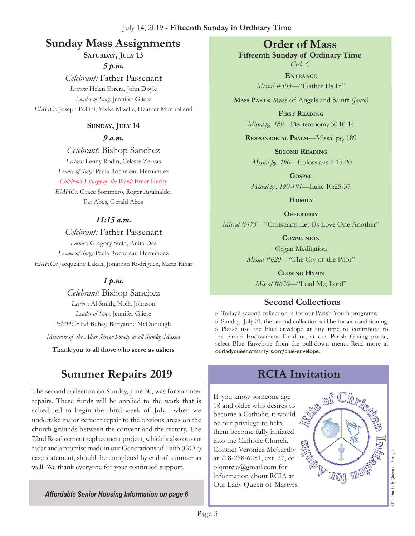# **Sunday Mass Assignments Order of Mass**

SATURDAY, JULY 13

*5 p.m. Celebrant:* Father Passenant *Lectors:* Helen Errera, John Doyle *Leader of Song:* Jennifer Gliere *EMHCs:* Joseph Pollini, Yorke Mizelle, Heather Munholland

## **Sunday, July 14**

*9 a.m.* 

*Celebrant:* Bishop Sanchez *Lectors:* Lenny Rodin, Celeste Zervas *Leader of Song:* Paula Rocheleau Hernández *Children's Liturgy of the Word:* Emer Herity *EMHCs:* Grace Sommero, Roger Aguinaldo, Pat Abes, Gerald Abes

# *11:15 a.m.*

*Celebrant:* Father Passenant *Lectors:* Gregory Stein, Anita Das *Leader of Song:* Paula Rocheleau Hernández *EMHCs:* Jacqueline Lakah, Jonathan Rodriguez, Maria Ribar

## *1 p.m.*

*Celebrant:* Bishop Sanchez *Lectors:* Al Smith, Noila Johnson *Leader of Song:* Jennifer Gliere *EMHCs:* Ed Buhay, Bettyanne McDonough *Members of the Altar Server Society at all Sunday Masses*

**Thank you to all those who serve as ushers**

# **Summer Repairs 2019**

The second collection on Sunday, June 30, was for summer repairs. These funds will be applied to the work that is scheduled to begin the third week of July—when we undertake major cement repair to the obvious areas on the church grounds between the convent and the rectory. The 72nd Road cement replacement project, which is also on our radar and a promise made in our Generations of Faith (GOF) case statement, should be completed by end of summer as well. We thank everyone for your continued support.

*Affordable Senior Housing Information on page 6*

**Fifteenth Sunday of Ordinary Time** *Cycle C*

> **Entrance** *Missal #303—*"Gather Us In"

**Mass Parts:** Mass of Angels and Saints *(Janco)*

**First Reading** *Missal pg. 189—*Deuteronomy 30:10-14

**Responsorial Psalm**—Missal pg. 189

**Second Reading** *Missal pg. 190—*Colossians 1:15-20

**Gospel** *Missal pg. 190-191—*Luke 10:25-37

**Homily**

**Offertory** *Missal #475—*"Christians, Let Us Love One Another"

**Communion**

Organ Meditation *Missal #620—*"The Cry of the Poor"

**Closing Hymn** *Missal #630*—"Lead Me, Lord"

# **Second Collections**

›› Today's second collection is for our Parish Youth programs. ›› Sunday, July 21, the second collection will be for air conditioning. ›› Please use the blue envelope at any time to contribute to the Parish Endowment Fund or, at our Parish Giving portal, select Blue Envelope from the pull-down menu. Read more at ourladyqueenofmartyrs.org/blue-envelope.

# **RCIA Invitation**

of Chr

TOJ UO

If you know someone age 18 and older who desires to become a Catholic, it would be our privilege to help them become fully initiated into the Catholic Church. Contact Veronica McCarthy at 718-268-6251, ext. 27, or olqmrcia[@gmail.com](mailto:rectoryolqm@aol.com) for information about RCIA at Our Lady Queen of Martyrs.

# 407 - Our Lady Queen of Martyrs Our Lady Queen of Martyr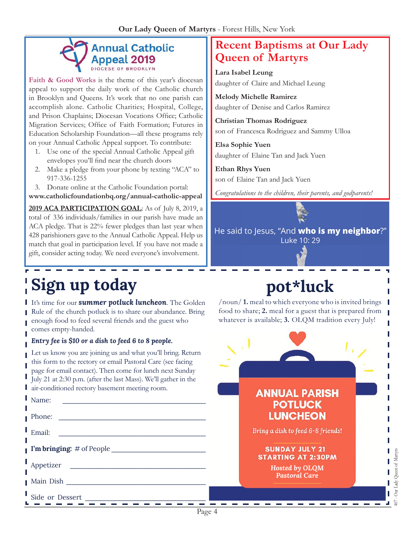# **Annual Catholic** Appeal 2019

Faith & Good Works is the theme of this year's diocesan appeal to support the daily work of the Catholic church in Brooklyn and Queens. It's work that no one parish can accomplish alone. Catholic Charities; Hospital, College, and Prison Chaplains; Diocesan Vocations Office; Catholic Migration Services; Office of Faith Formation; Futures in Education Scholarship Foundation—all these programs rely on your Annual Catholic Appeal support. To contribute:

- 1. Use one of the special Annual Catholic Appeal gift envelopes you'll find near the church doors
- 2. Make a pledge from your phone by texting "ACA" to 917-336-1255
- 3. Donate online at the Catholic Foundation portal:

**[www.catholicfoundationbq.org/annual-](www.catholicfoundationbq.org/annual)catholic-appeal**

**2019 ACA Participation goal**: As of July 8, 2019, a total of 336 individuals/families in our parish have made an ACA pledge. That is 22% fewer pledges than last year when 428 parishioners gave to the Annual Catholic Appeal. Help us match that goal in participation level. If you have not made a gift, consider acting today. We need everyone's involvement.

# **Sign up today**

I

**I** It's time for our **summer potluck luncheon**. The Golden Rule of the church potluck is to share our abundance. Bring enough food to feed several friends and the guest who comes empty-handed.

#### *Entry fee is \$10 or a dish to feed 6 to 8 people.*

Let us know you are joining us and what you'll bring. Return this form to the rectory or email Pastoral Care (see facing page for email contact). Then come for lunch next Sunday July 21 at 2:30 p.m. (after the last Mass). We'll gather in the air-conditioned rectory basement meeting room.

| $\blacksquare$ Name:                                    | <b>ANNUAL PARISH</b><br><b>POTLUCK</b>             |            |
|---------------------------------------------------------|----------------------------------------------------|------------|
| $\blacksquare$ Phone:                                   | <b>LUNCHEON</b>                                    |            |
| Email:                                                  | Bring a dish to feed 6-8 friends!                  |            |
| $\blacksquare$ I'm bringing: # of People $\blacksquare$ | <b>SUNDAY JULY 21</b><br><b>STARTING AT 2:30PM</b> | of Martyrs |
| Appetizer<br><b>Main Dish</b>                           | Hosted by OLQM<br>Pastoral Care <sup>1</sup>       | Queen      |
| Side or Dessert                                         |                                                    | Our.<br>₽  |

Page 4

# **Recent Baptisms at Our Lady Queen of Martyrs**

**Lara Isabel Leung** daughter of Claire and Michael Leung

**Melody Michelle Ramirez**  daughter of Denise and Carlos Ramirez

**Christian Thomas Rodriguez**  son of Francesca Rodriguez and Sammy Ulloa

**Elsa Sophie Yuen** daughter of Elaine Tan and Jack Yuen

**Ethan Rhys Yuen**  son of Elaine Tan and Jack Yuen

*Congratulations to the children, their parents, and godparents!*

He said to Jesus, "And **who is my neighbor**?" Luke 10: 29

# **pot\*luck**

/noun/ **1.** meal to which everyone who is invited brings food to share; **2.** meal for a guest that is prepared from whatever is available; **3.** OLQM tradition every July!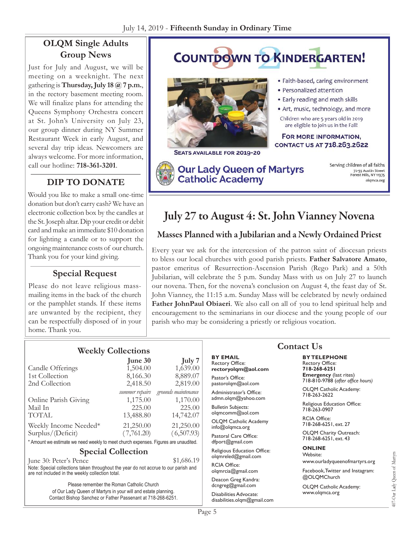# **OLQM Single Adults Group News**

Just for July and August, we will be meeting on a weeknight. The next gathering is **Thursday, July 18 @ 7 p.m.**, in the rectory basement meeting room. We will finalize plans for attending the Queens Symphony Orchestra concert at St. John's University on July 23, our group dinner during NY Summer Restaurant Week in early August, and several day trip ideas. Newcomers are always welcome. For more information, call our hotline: **718-361-3201**.

# **Dip to Donate**

Would you like to make a small one-time donation but don't carry cash? We have an electronic collection box by the candles at the St. Joseph altar. Dip your credit or debit card and make an immediate \$10 donation for lighting a candle or to support the ongoing maintenance costs of our church. Thank you for your kind giving.

## **Special Request**

Please do not leave religious massmailing items in the back of the church or the pamphlet stands. If these items are unwanted by the recipient, they can be respectfully disposed of in your home. Thank you.

#### **COUNTDOWN TO KINDERGARTEN!** · Faith-based, caring environment · Personalized attention • Early reading and math skills · Art, music, technology, and more Children who are 5 years old in 2019 are eligible to join us in the Fall! FOR MORE INFORMATION, CONTACT US AT 718.263.2622 SEATS AVAILABLE FOR 2019-20 Serving children of all faiths **Our Lady Queen of Martyrs** 72-55 Austin Street<br>Forest Hills, NY 11375 **Catholic Academy** olqmca.org

# July 27 to August 4: St. John Vianney Novena

# Masses Planned with a Jubilarian and a Newly Ordained Priest

Every year we ask for the intercession of the patron saint of diocesan priests to bless our local churches with good parish priests. **Father Salvatore Amato**, pastor emeritus of Resurrection-Ascension Parish (Rego Park) and a 50th Jubilarian, will celebrate the 5 p.m. Sunday Mass with us on July 27 to launch our novena. Then, for the novena's conclusion on August 4, the feast day of St. John Vianney, the 11:15 a.m. Sunday Mass will be celebrated by newly ordained **Father JohnPaul Obiaeri**. We also call on all of you to lend spiritual help and encouragement to the seminarians in our diocese and the young people of our parish who may be considering a priestly or religious vocation.

## **Weekly Collections**

|                                                                                                     | June 30        | July 7              |
|-----------------------------------------------------------------------------------------------------|----------------|---------------------|
| Candle Offerings                                                                                    | 1,504.00       | 1,639.00            |
| 1st Collection                                                                                      | 8,166.30       | 8,889.07            |
| 2nd Collection                                                                                      | 2,418.50       | 2,819.00            |
|                                                                                                     | summer repairs | grounds maintenance |
| Online Parish Giving                                                                                | 1,175.00       | 1,170.00            |
| Mail In                                                                                             | 225.00         | 225.00              |
| <b>TOTAL</b>                                                                                        | 13,488.80      | 14,742.07           |
| Weekly Income Needed*                                                                               | 21,250.00      | 21,250.00           |
| Surplus/(Deficit)                                                                                   | (7,761.20)     | (6,507.93)          |
| ♦ A control of the Poster of the countries of the control of the control of Ethnology and the Photo |                |                     |

Amount we estimate we need weekly to meet church expenses. Figures are unaudited.

#### **Special Collection**

June 30: Peter's Pence \$1,686.19 Note: Special collections taken throughout the year do not accrue to our parish and are not included in the weekly collection total.

> Please remember the Roman Catholic Church of Our Lady Queen of Martyrs in your will and estate planning. Contact Bishop Sanchez or Father Passenant at 718-268-6251.

#### **By Email** Rectory Office: **rectoryolqm@aol.com**

Pastor's Office: pastorolqm@aol.com

Administrator's Office: admn.olqm@yahoo.com

Bulletin Subjects: olqmcomm@aol.com

OLQM Catholic Academy info@olqmca.org Pastoral Care Office:

dfport@gmail.com

Religious Education Office: olqmreled@gmail.com

RCIA Office: [olqmrcia@gmail.com](mailto:olqmrcia@gmail.com)

Deacon Greg Kandra: dcngreg@gmail.com

Disabilities Advocate: [disabilities.olqm@gmail.com](mailto:disabilities.olqm@gmail.com)

## **Contact Us**

**By Telephone** Rectory Office: **718-268-6251 Emergency** (last rites) 718-810-9788 (*after office hours)*

OLQM Catholic Academy: 718-263-2622

Religious Education Office: 718-263-0907

RCIA Office: 718-268-6251, ext. 27

OLQM Charity Outreach: 718-268-6251, ext. 43

#### **Online**

Website: www.ourladyqueenofmartyrs.org

Facebook, Twitter and Instagram: @OLQMChurch

OLQM Catholic Academy: <www.olqmca.org>